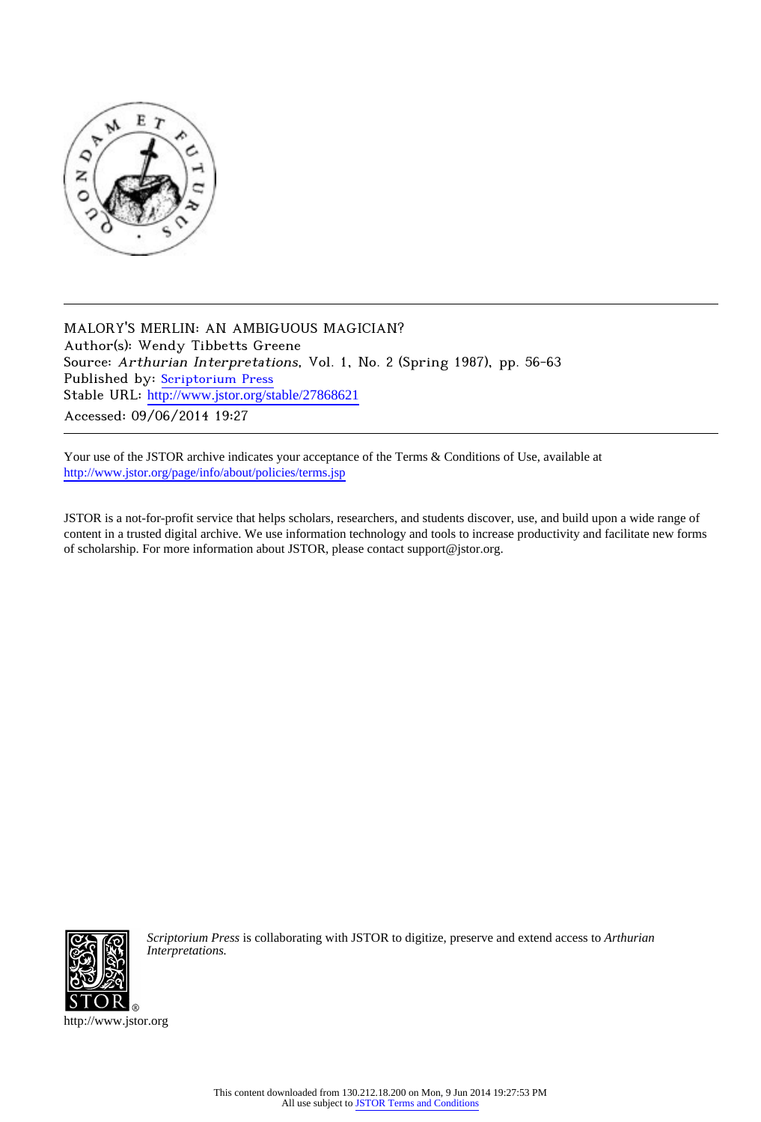

# MALORY'S MERLIN: AN AMBIGUOUS MAGICIAN? Author(s): Wendy Tibbetts Greene Source: Arthurian Interpretations, Vol. 1, No. 2 (Spring 1987), pp. 56-63 Published by: [Scriptorium Press](http://www.jstor.org/action/showPublisher?publisherCode=scriptorium) Stable URL: http://www.jstor.org/stable/27868621 Accessed: 09/06/2014 19:27

Your use of the JSTOR archive indicates your acceptance of the Terms & Conditions of Use, available at <http://www.jstor.org/page/info/about/policies/terms.jsp>

JSTOR is a not-for-profit service that helps scholars, researchers, and students discover, use, and build upon a wide range of content in a trusted digital archive. We use information technology and tools to increase productivity and facilitate new forms of scholarship. For more information about JSTOR, please contact support@jstor.org.



*Scriptorium Press* is collaborating with JSTOR to digitize, preserve and extend access to *Arthurian Interpretations.*

http://www.jstor.org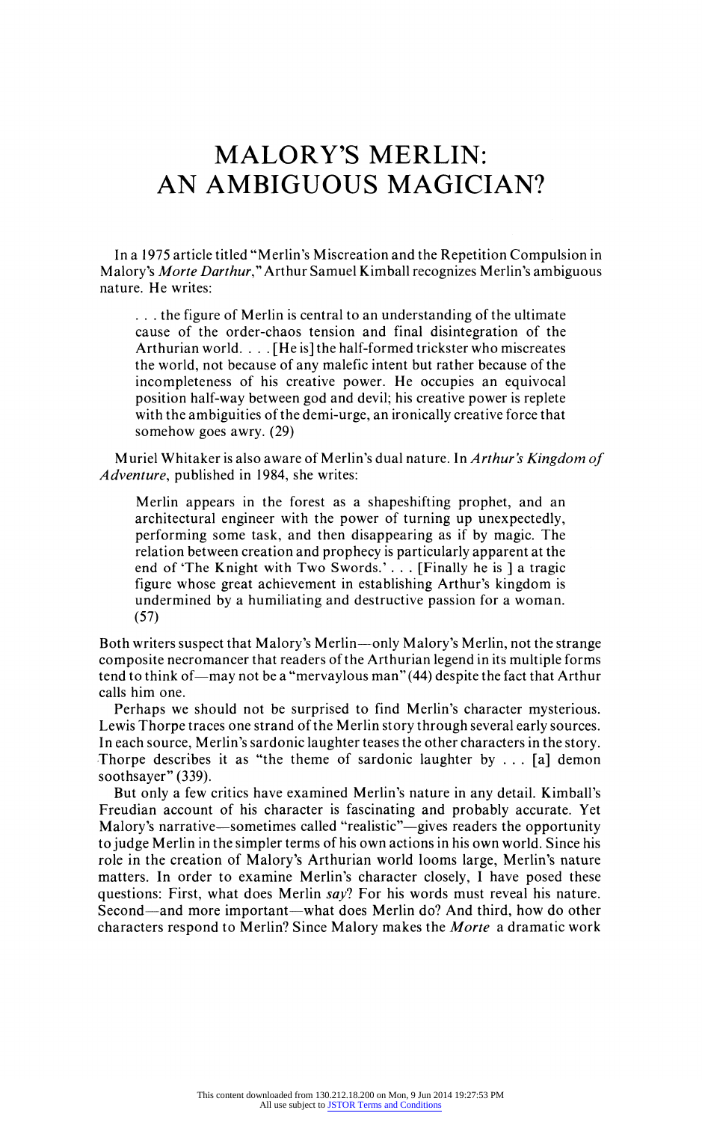# MALORY'S MERLIN: AN AMBIGUOUS MAGICIAN?

In a 1975 article titled "Merlin's Miscreation and the Repetition Compulsion in Malory's Morte Darthur," Arthur Samuel Kimball recognizes Merlin's ambiguous nature. He writes:

. . . the figure of Merlin is central to an understanding of the ultimate cause of the order-chaos tension and final disintegration of the Arthurian world. . . . [He is] the half-formed trickster who miscreates the world, not because of any malefic intent but rather because of the incompleteness of his creative power. He occupies an equivocal position half-way between god and devil; his creative power is replete with the ambiguities of the demi-urge, an ironically creative force that somehow goes awry. (29)

Muriel Whitaker is also aware of Merlin's dual nature. In Arthur's Kingdom of Adventure, published in 1984, she writes:

Merlin appears in the forest as a shapeshifting prophet, and an architectural engineer with the power of turning up unexpectedly, performing some task, and then disappearing as if by magic. The relation between creation and prophecy is particularly apparent at the end of 'The Knight with Two Swords.' . . . [Finally he is ] a tragic figure whose great achievement in establishing Arthur's kingdom is undermined by a humiliating and destructive passion for a woman. (57)

Both writers suspect that Malory's Merlin—only Malory's Merlin, not the strange composite necromancer that readers of the Arthurian legend in its multiple forms tend to think of—may not be a "mervaylous man" (44) despite the fact that Arthur calls him one.

Perhaps we should not be surprised to find Merlin's character mysterious. Lewis Thorpe traces one strand of the Merlin story through several early sources. In each source, Merlin's sardonic laughter teases the other characters in the story. Thorpe describes it as "the theme of sardonic laughter by . . . [a] demon soothsayer" (339).

But only a few critics have examined Merlin's nature in any detail. Kimball's Freudian account of his character is fascinating and probably accurate. Yet Malory's narrative-sometimes called "realistic"-gives readers the opportunity to judge Merlin in the simpler terms of his own actions in his own world. Since his role in the creation of Malory's Arthurian world looms large, Merlin's nature matters. In order to examine Merlin's character closely, I have posed these questions: First, what does Merlin say? For his words must reveal his nature. Second—and more important—what does Merlin do? And third, how do other characters respond to Merlin? Since Malory makes the Morte a dramatic work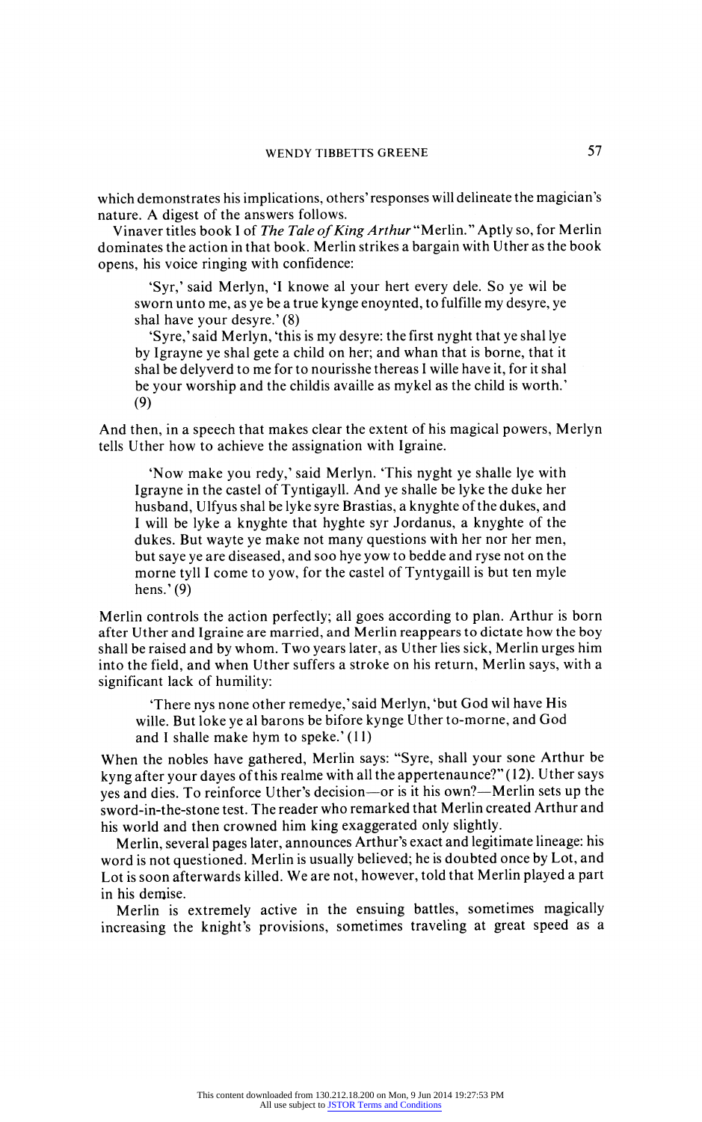which demonstrates his implications, others'responses will delineate the magician's nature. A digest of the answers follows.

Vinaver titles book I of The Tale of King Arthur "Merlin." Aptly so, for Merlin dominates the action in that book. Merlin strikes a bargain with Uther as the book opens, his voice ringing with confidence:

'Syr,' said Merlyn, 'I knowe al your hert every dele. So ye wil be sworn unto me, as ye be a true kynge enoynted, to fulfille my desyre, ye shal have your desyre.' (8)

'Syre,' said Merlyn, 'this is my desyre: the first nyght that ye shal lye by Igrayne ye shal gete a child on her; and whan that is borne, that it shal be delyverd to me for to nourisshe thereas I wille have it, for it shal be your worship and the childis availle as mykel as the child is worth.' (9)

And then, in a speech that makes clear the extent of his magical powers, Merlyn tells Uther how to achieve the assignation with Igraine.

'Now make you redy,' said Merlyn. 'This nyght ye shalle lye with Igrayne in the castel of Tyntigayll. And ye shalle be lyke the duke her husband, Ulfyus shal be lyke syre Brastias, a knyghte of the dukes, and I will be lyke a knyghte that hyghte syr Jordanus, a knyghte of the dukes. But wayte ye make not many questions with her nor her men, but saye ye are diseased, and soo hye yow to bedde and ryse not on the morne tyll I come to yow, for the castel of Tyntygaill is but ten myle hens.'(9)

Merlin controls the action perfectly; all goes according to plan. Arthur is born after Uther and Igraine are married, and Merlin reappears to dictate how the boy shall be raised and by whom. Two years later, as Uther lies sick, Merlin urges him into the field, and when Uther suffers a stroke on his return, Merlin says, with a significant lack of humility:

'There nys none other remedye,'said Merlyn, 'but God wil have His wille. But loke ye al barons be bifore kynge Uther to-morne, and God and I shalle make hym to speke.' (11)

When the nobles have gathered, Merlin says: "Syre, shall your sone Arthur be kyng after your dayes of this realme with all the appertenaunce?" ( 12). Uther says yes and dies. To reinforce Uther's decision-or is it his own?-Merlin sets up the sword-in-the-stone test. The reader who remarked that Merlin created Arthur and his world and then crowned him king exaggerated only slightly.

Merlin, several pages later, announces Arthur's exact and legitimate lineage: his word is not questioned. Merlin is usually believed; he is doubted once by Lot, and Lot is soon afterwards killed. We are not, however, told that Merlin played a part in his demise.

Merlin is extremely active in the ensuing battles, sometimes magically increasing the knight's provisions, sometimes traveling at great speed as a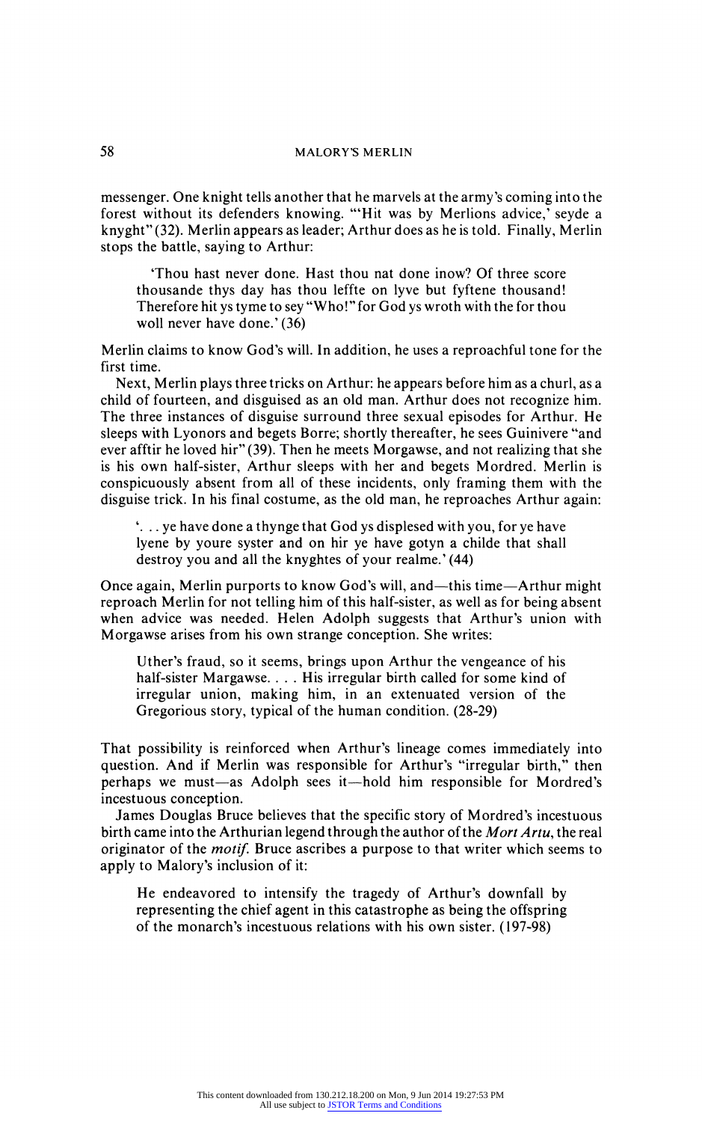### 58 MALORY'S MERLIN

messenger. One knight tells another that he marvels at the army's coming into the forest without its defenders knowing. "'Hit was by Merlions advice,' seyde a knyght" (32). Merlin appears as leader; Arthur does as he is told. Finally, Merlin stops the battle, saying to Arthur:

Thou hast never done. Hast thou nat done inow? Of three score thousande thys day has thou leffte on lyve but fyftene thousand! Therefore hit ys tyme to sey "Who!" for God ys wroth with the for thou woll never have done.' (36)

Merlin claims to know God's will. In addition, he uses a reproachful tone for the first time.

Next, Merlin plays three tricks on Arthur: he appears before him as a churl, as a child of fourteen, and disguised as an old man. Arthur does not recognize him. The three instances of disguise surround three sexual episodes for Arthur. He sleeps with Lyonors and begets Borre; shortly thereafter, he sees Guinivere "and ever afftir he loved hir" (39). Then he meets Morgawse, and not realizing that she is his own half-sister, Arthur sleeps with her and begets Mordred. Merlin is conspicuously absent from all of these incidents, only framing them with the disguise trick. In his final costume, as the old man, he reproaches Arthur again:

\ .. ye have done a thynge that God ys displesed with you, for ye have lyene by youre syster and on hir ye have gotyn a childe that shall destroy you and all the knyghtes of your realme.' (44)

Once again, Merlin purports to know God's will, and—this time—Arthur might reproach Merlin for not telling him of this half-sister, as well as for being absent when advice was needed. Helen Adolph suggests that Arthur's union with Morgawse arises from his own strange conception. She writes:

Uther's fraud, so it seems, brings upon Arthur the vengeance of his half-sister Margawse. . . . His irregular birth called for some kind of irregular union, making him, in an extenuated version of the Gregorious story, typical of the human condition. (28-29)

That possibility is reinforced when Arthur's lineage comes immediately into question. And if Merlin was responsible for Arthur's "irregular birth," then perhaps we must-as Adolph sees it-hold him responsible for Mordred's incestuous conception.

James Douglas Bruce believes that the specific story of Mordred's incestuous birth came into the Arthurian legend through the author of the Mort Artu, the real originator of the motif. Bruce ascribes a purpose to that writer which seems to apply to Malory's inclusion of it:

He endeavored to intensify the tragedy of Arthur's downfall by representing the chief agent in this catastrophe as being the offspring of the monarch's incestuous relations with his own sister. (197-98)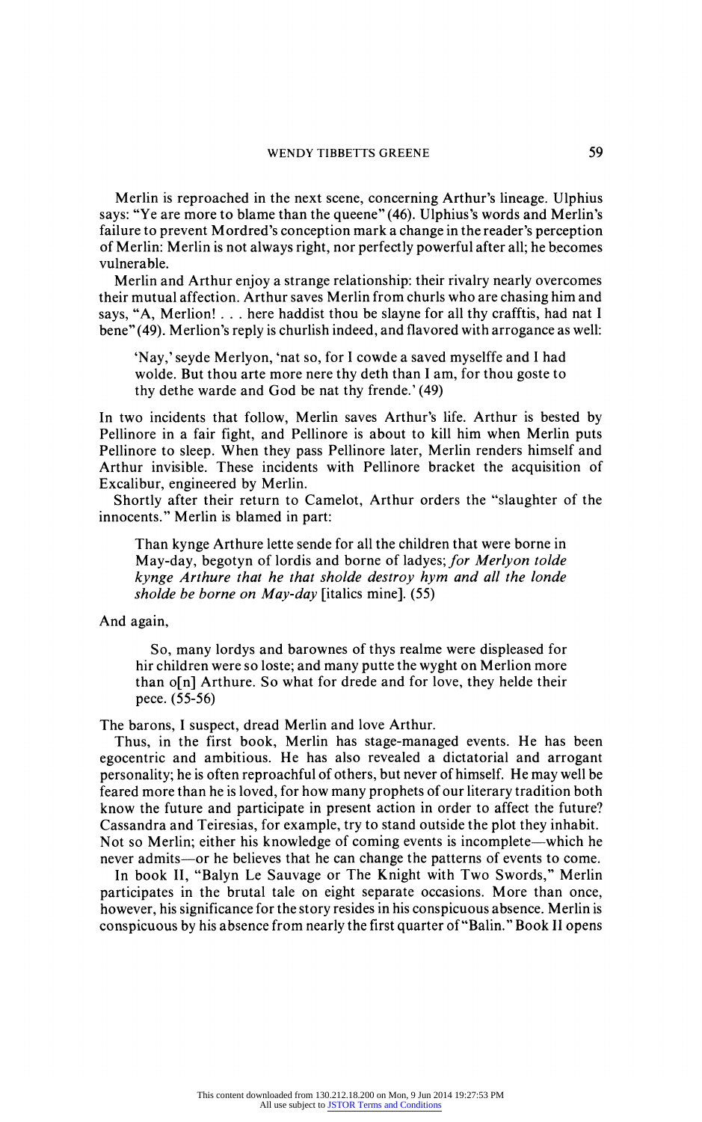Merlin is reproached in the next scene, concerning Arthur's lineage. Ulphius<br>exactly are manager blanc than the guaran? (AC). Ulphins's manda and Marlin says: "Ye are more to blame than the queene" (46). Ulphius's words and Merlin's filling to proceed Merlin's concernity more than the product of the concerni failure to prevent Mordred's conception mark a change in the reader's perception of Merlin: Merlin is not always right, nor perfectly powerful after all; he becomes vulnerable.

Merlin and Arthur enjoy a strange relationship: their rivalry nearly overcomes their mutual affection. Arthur saves Merlin from churls who are chasing him and says, "A, Merlion! . . . here haddist thou be slayne for all thy crafftis, had nat I bene" (49). Merlion's reply is churlish indeed, and flavored with arrogance as well:

'Nay,' seyde Merlyon, 'nat so, for I cowde a saved myselffe and I had wolde. But thou arte more nere thy deth than I am, for thou goste to thy dethe warde and God be nat thy frende.' (49)

In two incidents that follow, Merlin saves Arthur's life. Arthur is bested by Pellinore in a fair fight, and Pellinore is about to kill him when Merlin puts Pellinore to sleep. When they pass Pellinore later, Merlin renders himself and Arthur invisible. These incidents with Pellinore bracket the acquisition of Excalibur, engineered by Merlin.

Shortly after their return to Camelot, Arthur orders the "slaughter of the innocents." Merlin is blamed in part:

Than kynge Arthure lette sende for all the children that were borne in May-day, begotyn of lordis and borne of ladyes; for Merlyon tolde kynge Arthure that he that sholde destroy hym and all the londe sholde be borne on May-day [italics mine]. (55)

And again,

So, many lordys and barownes of thys realme were displeased for hir children were so loste; and many putte the wyght on Merlion more than o[n] Arthure. So what for drede and for love, they helde their pece. (55-56)

The barons, I suspect, dread Merlin and love Arthur.

Thus, in the first book, Merlin has stage-managed events. He has been egocentric and ambitious. He has also revealed a dictatorial and arrogant personality; he is often reproachful of others, but never of himself. He may well be feared more than he is loved, for how many prophets of our literary tradition both know the future and participate in present action in order to affect the future? Cassandra and Teiresias, for example, try to stand outside the plot they inhabit. Not so Merlin; either his knowledge of coming events is incomplete—which he never admits-or he believes that he can change the patterns of events to come.

In book II, "Balyn Le Sauvage or The Knight with Two Swords," Merlin participates in the brutal tale on eight separate occasions. More than once, however, his significance for the story resides in his conspicuous absence. Merlin is conspicuous by his absence from nearly the first quarter of "Baiin." Book II opens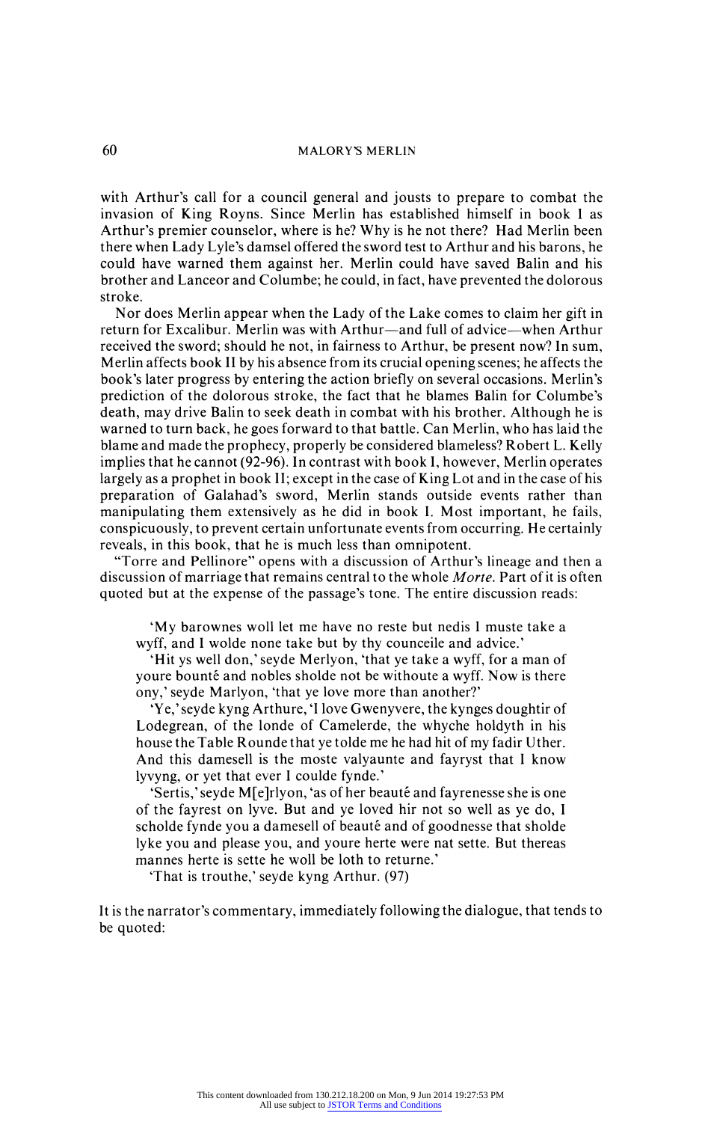#### 60 MALORY'S MERLIN

with Arthur's call for a council general and jousts to prepare to combat the invasion of King Royns. Since Merlin has established himself in book 1 as Arthur's premier counselor, where is he? Why is he not there? Had Merlin been there when Lady Lyle's damsel offered the sword test to Arthur and his barons, he there when Lady Lyle's damsel offered the sword test to Arthur and his barons, he could have warned them against her. Merlin could have saved Balin and his brother and Lanceor and Columbe; he could, in fact, have prevented the dolorous stroke.

Nor does Merlin appear when the Lady of the Lake comes to claim her gift in return for Excalibur. Merlin was with Arthur—and full of advice—when Arthur received the sword; should he not, in fairness to Arthur, be present now? In sum, Merlin affects book II by his absence from its crucial opening scenes; he affects the book's later progress by entering the action briefly on several occasions. Merlin's prediction of the dolorous stroke, the fact that he blames Balin for Columbe's death, may drive Balin to seek death in combat with his brother. Although he is warned to turn back, he goes forward to that battle. Can Merlin, who has laid the blame and made the prophecy, properly be considered blameless? Robert L. Kelly implies that he cannot (92-96). In contrast with book I, however, Merlin operates largely as a prophet in book II; except in the case of King Lot and in the case of his preparation of Galahad's sword, Merlin stands outside events rather than manipulating them extensively as he did in book I. Most important, he fails, conspicuously, to prevent certain unfortunate events from occurring. He certainly reveals, in this book, that he is much less than omnipotent.

"Torre and Pellinore" opens with a discussion of Arthur's lineage and then a discussion of marriage that remains central to the whole Morte. Part of it is often quoted but at the expense of the passage's tone. The entire discussion reads:

'My barownes woll let me have no reste but nedis I muste take a wyff, and I wolde none take but by thy counceile and advice.'

'Hit ys well don,' seyde Merlyon, 'that ye take a wyff, for a man of youre bounté and nobles sholde not be withoute a wyff. Now is there ony,' seyde Marlyon, 'that ye love more than another?'

'Ye,' seyde kyng Arthure, 'I love Gwenyvere, the kynges doughtir of Lodegrean, of the londe of Camelerde, the whyche holdyth in his house the Table Rounde that ye tolde me he had hit of my fadir Uther. And this damesell is the moste valyaunte and fayryst that I know lyvyng, or yet that ever I coulde fynde.'

'Sertis,' seyde M[e]rlyon, 'as of her beauté and fayrenesse she is one of the fayrest on lyve. But and ye loved hir not so well as ye do, I scholde fynde you a damesell of beauté and of goodnesse that sholde lyke you and please you, and youre herte were nat sette. But thereas mannes herte is sette he woll be loth to returne.'

'That is trouthe,' seyde kyng Arthur. (97)

It is the narrator's commentary, immediately following the dialogue, that tends to be quoted: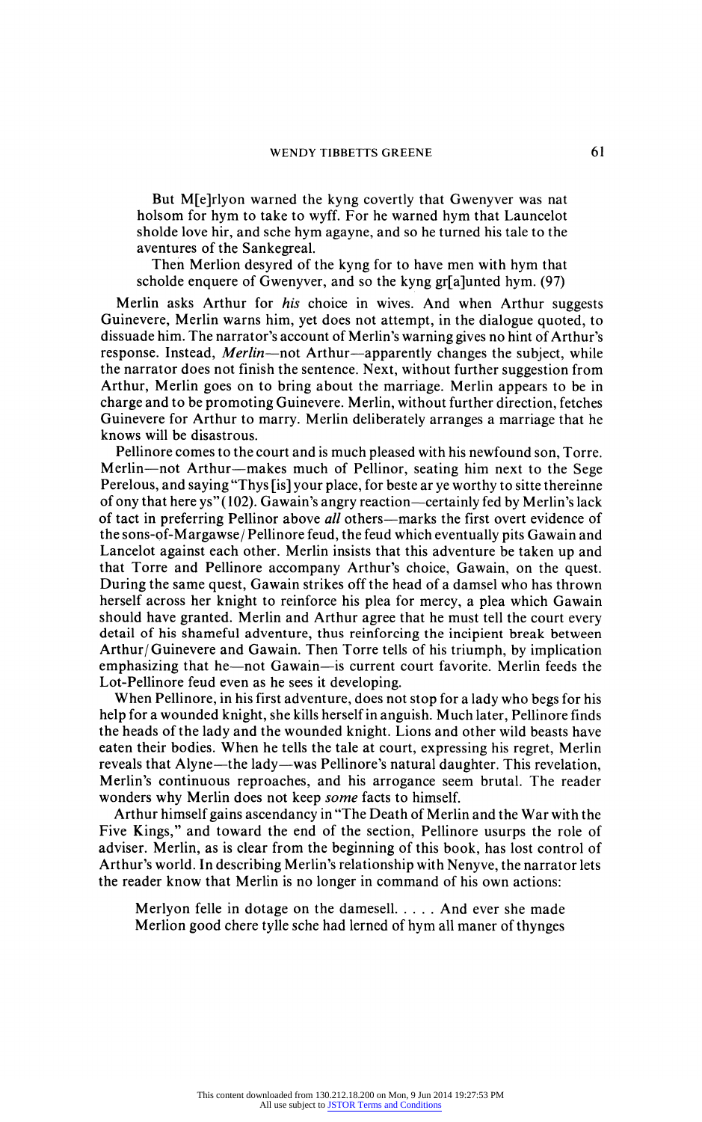But M[e]rlyon warned the kyng covertly that Gwenyver was nat holsom for hym to take to wyff. For he warned hym that Launcelot sholde love hir, and sehe hym agayne, and so he turned his tale to the aventures of the Sankegreal.

Then Merlion desyred of the kyng for to have men with hym that scholde enquere of Gwenyver, and so the kyng gr[a]unted hym. (97)

Merlin asks Arthur for his choice in wives. And when Arthur suggests Guinevere, Merlin warns him, yet does not attempt, in the dialogue quoted, to dissuade him. The narrator's account of Merlin's warning gives no hint of Arthur's response. Instead, Merlin-not Arthur-apparently changes the subject, while the narrator does not finish the sentence. Next, without further suggestion from Arthur, Merlin goes on to bring about the marriage. Merlin appears to be in charge and to be promoting Guinevere. Merlin, without further direction, fetches Guinevere for Arthur to marry. Merlin deliberately arranges a marriage that he knows will be disastrous.

Pellinore comes to the court and is much pleased with his newfound son, Torre.<br>Merlin—not Arthur—makes much of Pellinor, seating him next to the Sege Merlin—not Arthur—makes much of Pellinor, seating him next to the Seg Perelous, and saying "Thys [is] your place, for beste ar ye worthy to sitte thereinne of ony that here ys" (102). Gawain's angry reaction—certainly fed by Merlin's lack of tact in preferring Pellinor above all others—marks the first overt evidence of the sons-of-Margawse/ Pellinore feud, the feud which eventually pits Gawain and Lancelot against each other. Merlin insists that this adventure be taken up and that Torre and Pellinore accompany Arthur's choice, Gawain, on the quest. During the same quest, Gawain strikes off the head of a damsel who has thrown herself across her knight to reinforce his plea for mercy, a plea which Gawain should have granted. Merlin and Arthur agree that he must tell the court every detail of his shameful adventure, thus reinforcing the incipient break between Arthur/Guinevere and Gawain. Then Torre tells of his triumph, by implication emphasizing that he—not Gawain—is current court favorite. Merlin feeds the Lot-Pellinore feud even as he sees it developing.

When Pellinore, in his first adventure, does not stop for a lady who begs for his help for a wounded knight, she kills herself in anguish. Much later, Pellinore finds the heads of the lady and the wounded knight. Lions and other wild beasts have eaten their bodies. When he tells the tale at court, expressing his regret, Merlin reveals that Alyne-the lady-was Pellinore's natural daughter. This revelation, Merlin's continuous reproaches, and his arrogance seem brutal. The reader wonders why Merlin does not keep some facts to himself.

Arthur himself gains ascendancy in "The Death of Merlin and the War with the Five Kings," and toward the end of the section, Pellinore usurps the role of adviser. Merlin, as is clear from the beginning of this book, has lost control of Arthur's world. In describing Merlin's relationship with Nenyve, the narrator lets the reader know that Merlin is no longer in command of his own actions:

Merlyon felle in dotage on the damesell.  $\ldots$ . And ever she made Merlion good chere tylle sehe had lerned of hym all maner of thynges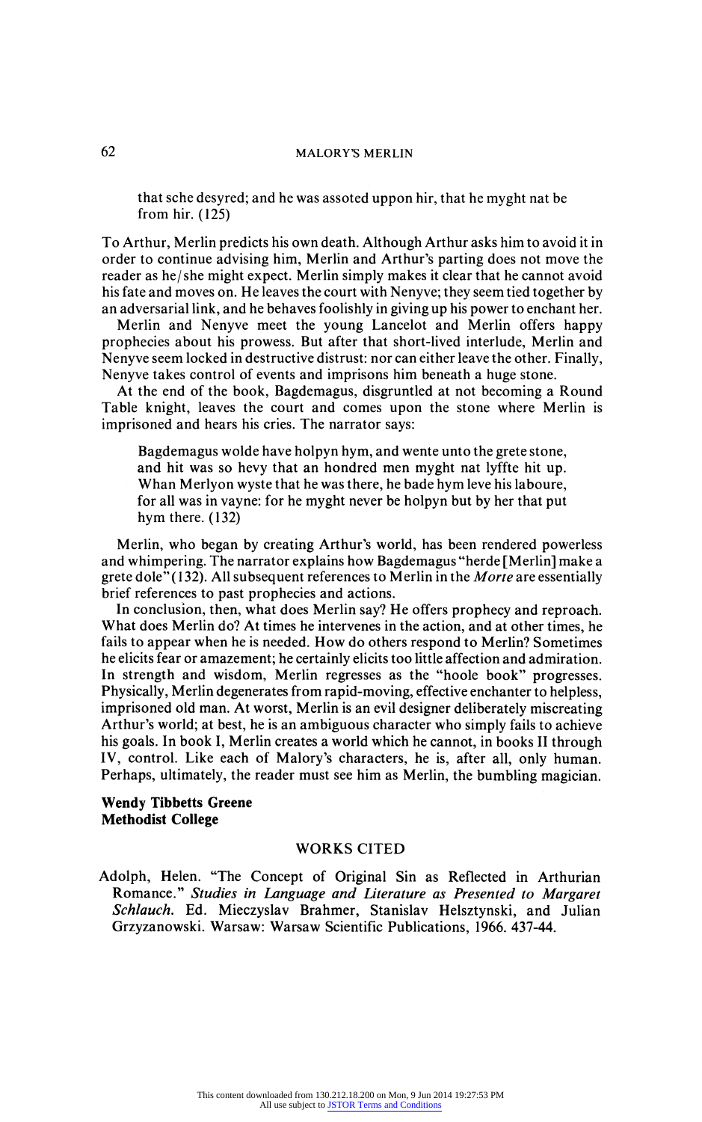# 62 MALORY'S MERLIN

that sehe desyred; and he was assoted uppon hir, that he myght nat be from hir. (125)

To Arthur, Merlin predicts his own death. Although Arthur asks him to avoid it in order to continue advising him, Merlin and Arthur's parting does not move the reader as he/she might expect. Merlin simply makes it clear that he cannot avoid his fate and moves on. He leaves the court with Nenyve; they seem tied together by an adversarial link, and he behaves foolishly in giving up his power to enchant her.

Merlin and Nenyve meet the young Lancelot and Merlin offers happy prophecies about his prowess. But after that short-lived interlude, Merlin and Nenyve seem locked in destructive distrust: nor can either leave the other. Finally, Nenyve takes control of events and imprisons him beneath a huge stone.

At the end of the book, Bagdemagus, disgruntled at not becoming a Round Table knight, leaves the court and comes upon the stone where Merlin is imprisoned and hears his cries. The narrator says:

Bagdemagus wolde have holpyn hym, and wente unto the grete stone, and hit was so hevy that an hondred men myght nat lyffte hit up. Whan Merlyon wyste that he was there, he bade hym leve his laboure, for all was in vayne: for he myght never be holpyn but by her that put hym there. (132)

Merlin, who began by creating Arthur's world, has been rendered powerles and whimpering. The narrator explains how Bagdemagus "herde [Merlin] make a grete dole" ( 132). All subsequent references to Merlin in the Morte are essentially brief references to past prophecies and actions.

In conclusion, then, what does Merlin say? He offers prophecy and reproach. What does Merlin do? At times he intervenes in the action, and at other times, he fails to appear when he is needed. How do others respond to Merlin? Sometimes he elicits fear or amazement; he certainly elicits too little affection and admiration. In strength and wisdom, Merlin regresses as the "hoole book" progresses. Physically, Merlin degenerates from rapid-moving, effective enchanter to helpless, imprisoned old man. At worst, Merlin is an evil designer deliberately miscreating Arthur's world; at best, he is an ambiguous character who simply fails to achieve his goals. In book I, Merlin creates a world which he cannot, in books II through IV, control. Like each of Malory's characters, he is, after all, only human. Perhaps, ultimately, the reader must see him as Merlin, the bumbling magician.

## Wendy Tibbetts Greene Methodist College

# WORKS CITED

Adolph, Helen. "The Concept of Original Sin as Reflected in Arthurian Romance." Studies in Language and Literature as Presented to Margaret Schlauch. Ed. Mieczyslav Brahmer, Stanislav Helsztynski, and Julian Grzyzanowski. Warsaw: Warsaw Scientific Publications, 1966. 437-44.